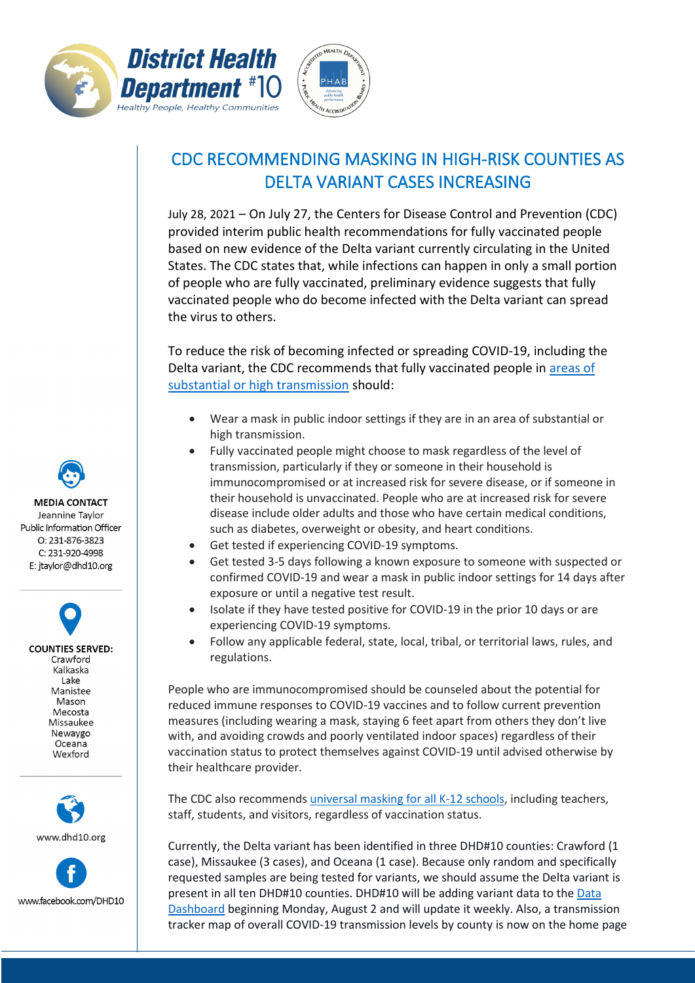



## CDC RECOMMENDING MASKING IN HIGH-RISK COUNTIES AS DELTA VARIANT CASES INCREASING

July 28, 2021 – On July 27, the Centers for Disease Control and Prevention (CDC) provided interim public health recommendations for fully vaccinated people based on new evidence of the Delta variant currently circulating in the United States. The CDC states that, while infections can happen in only a small portion of people who are fully vaccinated, preliminary evidence suggests that fully vaccinated people who do become infected with the Delta variant can spread the virus to others.

To reduce the risk of becoming infected or spreading COVID-19, including the Delta variant, the CDC recommends that fully vaccinated people in [areas](https://covid.cdc.gov/covid-data-tracker/#county-view) of substantial or high [transmission](https://covid.cdc.gov/covid-data-tracker/#county-view) should:

- Wear a mask in public indoor settings if they are in an area of substantial or high transmission.
- Fully vaccinated people might choose to mask regardless of the level of transmission, particularly if they or someone in their household is immunocompromised or at increased risk for severe disease, or if someone in their household is unvaccinated. People who are at increased risk for severe disease include older adults and those who have certain medical conditions, such as diabetes, overweight or obesity, and heart conditions.
- Get tested if experiencing COVID-19 symptoms.
- Get tested 3-5 days following a known exposure to someone with suspected or confirmed COVID-19 and wear a mask in public indoor settings for 14 days after exposure or until a negative test result.
- Isolate if they have tested positive for COVID-19 in the prior 10 days or are experiencing COVID-19 symptoms.
- Follow any applicable federal, state, local, tribal, or territorial laws, rules, and regulations.

People who are immunocompromised should be counseled about the potential for reduced immune responses to COVID-19 vaccines and to follow current prevention measures (including wearing a mask, staying 6 feet apart from others they don't live with, and avoiding crowds and poorly ventilated indoor spaces) regardless of their vaccination status to protect themselves against COVID-19 until advised otherwise by their healthcare provider.

The CDC also recommends universal masking [for all K-12 schools,](https://www.cdc.gov/coronavirus/2019-ncov/community/schools-childcare/k-12-guidance.html) including teachers, staff, students, and visitors, regardless of vaccination status.

Currently, the Delta variant has been identified in three DHD#10 counties: Crawford (1 case), Missaukee (3 cases), and Oceana (1 case). Because only random and specifically requested samples are being tested for variants, we should assume the Delta variant is present in all ten DHD#10 counties. DHD#10 will be adding variant data to the [Data](https://www.dhd10.org/coronavirus/data-dashboard/) [Dashboard](https://www.dhd10.org/coronavirus/data-dashboard/) beginning Monday, August 2 and will update it weekly. Also, a transmission tracker map of overall COVID-19 transmission levels by county is now on the home page

**MEDIA CONTACT** Jeannine Taylor Public Information Officer  $O: 231 - 876 - 3823$ C: 231-920-4998 E: jtaylor@dhd10.org